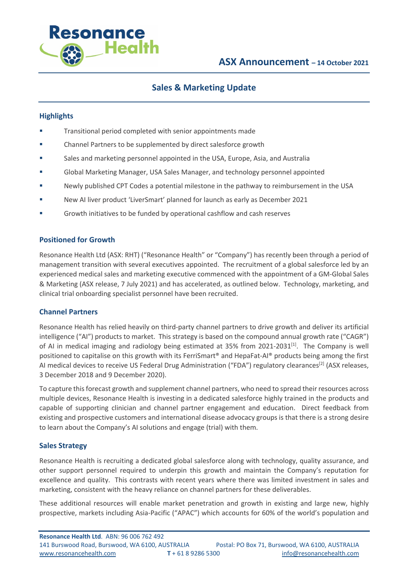

# **Sales & Marketing Update**

### **Highlights**

- **•** Transitional period completed with senior appointments made
- Channel Partners to be supplemented by direct salesforce growth
- Sales and marketing personnel appointed in the USA, Europe, Asia, and Australia
- § Global Marketing Manager, USA Sales Manager, and technology personnel appointed
- § Newly published CPT Codes a potential milestone in the pathway to reimbursement in the USA
- § New AI liver product 'LiverSmart' planned for launch as early as December 2021
- § Growth initiatives to be funded by operational cashflow and cash reserves

### **Positioned for Growth**

Resonance Health Ltd (ASX: RHT) ("Resonance Health" or "Company") has recently been through a period of management transition with several executives appointed. The recruitment of a global salesforce led by an experienced medical sales and marketing executive commenced with the appointment of a GM-Global Sales & Marketing (ASX release, 7 July 2021) and has accelerated, as outlined below. Technology, marketing, and clinical trial onboarding specialist personnel have been recruited.

### **Channel Partners**

Resonance Health has relied heavily on third-party channel partners to drive growth and deliver its artificial intelligence ("AI") products to market. This strategy is based on the compound annual growth rate ("CAGR") of AI in medical imaging and radiology being estimated at 35% from 2021-2031<sup>[1]</sup>. The Company is well positioned to capitalise on this growth with its FerriSmart® and HepaFat-AI® products being among the first AI medical devices to receive US Federal Drug Administration ("FDA") regulatory clearances<sup>[2]</sup> (ASX releases, 3 December 2018 and 9 December 2020).

To capture this forecast growth and supplement channel partners, who need to spread their resources across multiple devices, Resonance Health is investing in a dedicated salesforce highly trained in the products and capable of supporting clinician and channel partner engagement and education. Direct feedback from existing and prospective customers and international disease advocacy groups is that there is a strong desire to learn about the Company's AI solutions and engage (trial) with them.

### **Sales Strategy**

Resonance Health is recruiting a dedicated global salesforce along with technology, quality assurance, and other support personnel required to underpin this growth and maintain the Company's reputation for excellence and quality. This contrasts with recent years where there was limited investment in sales and marketing, consistent with the heavy reliance on channel partners for these deliverables.

These additional resources will enable market penetration and growth in existing and large new, highly prospective, markets including Asia-Pacific ("APAC") which accounts for 60% of the world's population and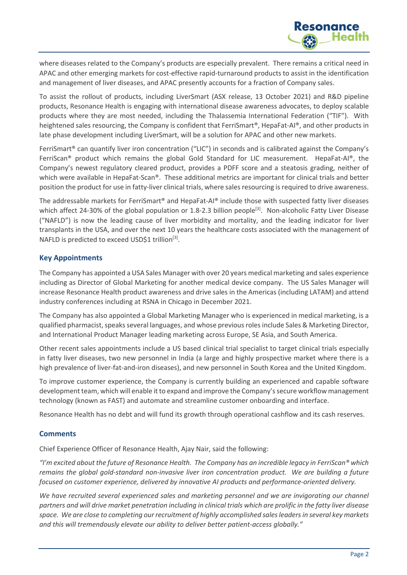

where diseases related to the Company's products are especially prevalent. There remains a critical need in APAC and other emerging markets for cost-effective rapid-turnaround products to assist in the identification and management of liver diseases, and APAC presently accounts for a fraction of Company sales.

To assist the rollout of products, including LiverSmart (ASX release, 13 October 2021) and R&D pipeline products, Resonance Health is engaging with international disease awareness advocates, to deploy scalable products where they are most needed, including the Thalassemia International Federation ("TIF"). With heightened sales resourcing, the Company is confident that FerriSmart®, HepaFat-AI®, and other products in late phase development including LiverSmart, will be a solution for APAC and other new markets.

FerriSmart® can quantify liver iron concentration ("LIC") in seconds and is calibrated against the Company's FerriScan® product which remains the global Gold Standard for LIC measurement. HepaFat-AI®, the Company's newest regulatory cleared product, provides a PDFF score and a steatosis grading, neither of which were available in HepaFat-Scan®. These additional metrics are important for clinical trials and better position the product for use in fatty-liver clinical trials, where sales resourcing is required to drive awareness.

The addressable markets for FerriSmart® and HepaFat-AI® include those with suspected fatty liver diseases which affect 24-30% of the global population or 1.8-2.3 billion people<sup>[3]</sup>. Non-alcoholic Fatty Liver Disease ("NAFLD") is now the leading cause of liver morbidity and mortality, and the leading indicator for liver transplants in the USA, and over the next 10 years the healthcare costs associated with the management of NAFLD is predicted to exceed USD\$1 trillion<sup>[3]</sup>.

## **Key Appointments**

The Company has appointed a USA Sales Manager with over 20 years medical marketing and sales experience including as Director of Global Marketing for another medical device company. The US Sales Manager will increase Resonance Health product awareness and drive sales in the Americas (including LATAM) and attend industry conferences including at RSNA in Chicago in December 2021.

The Company has also appointed a Global Marketing Manager who is experienced in medical marketing, is a qualified pharmacist, speaks several languages, and whose previous roles include Sales & Marketing Director, and International Product Manager leading marketing across Europe, SE Asia, and South America.

Other recent sales appointments include a US based clinical trial specialist to target clinical trials especially in fatty liver diseases, two new personnel in India (a large and highly prospective market where there is a high prevalence of liver-fat-and-iron diseases), and new personnel in South Korea and the United Kingdom.

To improve customer experience, the Company is currently building an experienced and capable software development team, which will enable it to expand and improve the Company's secure workflow management technology (known as FAST) and automate and streamline customer onboarding and interface.

Resonance Health has no debt and will fund its growth through operational cashflow and its cash reserves.

### **Comments**

Chief Experience Officer of Resonance Health, Ajay Nair, said the following:

*"I'm excited about the future of Resonance Health. The Company has an incredible legacy in FerriScan® which remains the global gold-standard non-invasive liver iron concentration product. We are building a future focused on customer experience, delivered by innovative AI products and performance-oriented delivery.* 

We have recruited several experienced sales and marketing personnel and we are invigorating our channel *partners and will drive market penetration including in clinical trials which are prolific in the fatty liver disease space. We are close to completing our recruitment of highly accomplished sales leadersin several key markets and this will tremendously elevate our ability to deliver better patient-access globally."*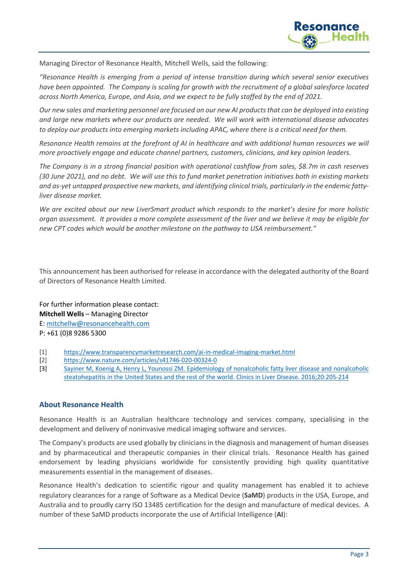

Managing Director of Resonance Health, Mitchell Wells, said the following:

*"Resonance Health is emerging from a period of intense transition during which several senior executives have been appointed. The Company is scaling for growth with the recruitment of a global salesforce located across North America, Europe, and Asia, and we expect to be fully staffed by the end of 2021.* 

*Our new sales and marketing personnel are focused on our new AI products that can be deployed into existing and large new markets where our products are needed. We will work with international disease advocates to deploy our products into emerging markets including APAC, where there is a critical need for them.*

*Resonance Health remains at the forefront of AI in healthcare and with additional human resources we will more proactively engage and educate channel partners, customers, clinicians, and key opinion leaders.* 

*The Company is in a strong financial position with operational cashflow from sales, \$8.7m in cash reserves (30 June 2021), and no debt. We will use this to fund market penetration initiatives both in existing markets and as-yet untapped prospective new markets, and identifying clinical trials, particularly in the endemic fattyliver disease market.* 

*We are excited about our new LiverSmart product which responds to the market's desire for more holistic organ assessment. It provides a more complete assessment of the liver and we believe it may be eligible for new CPT codes which would be another milestone on the pathway to USA reimbursement."*

This announcement has been authorised for release in accordance with the delegated authority of the Board of Directors of Resonance Health Limited.

For further information please contact: **Mitchell Wells** – Managing Director E: mitchellw@resonancehealth.com P: +61 (0)8 9286 5300

- [1] https://www.transparencymarketresearch.com/ai-in-medical-imaging-market.html
- [2] https://www.nature.com/articles/s41746-020-00324-0
- [3] Sayiner M, Koenig A, Henry L, Younossi ZM. Epidemiology of nonalcoholic fatty liver disease and nonalcoholic steatohepatitis in the United States and the rest of the world. Clinics in Liver Disease. 2016;20:205-214

### **About Resonance Health**

Resonance Health is an Australian healthcare technology and services company, specialising in the development and delivery of noninvasive medical imaging software and services.

The Company's products are used globally by clinicians in the diagnosis and management of human diseases and by pharmaceutical and therapeutic companies in their clinical trials. Resonance Health has gained endorsement by leading physicians worldwide for consistently providing high quality quantitative measurements essential in the management of diseases.

Resonance Health's dedication to scientific rigour and quality management has enabled it to achieve regulatory clearances for a range of Software as a Medical Device (**SaMD**) products in the USA, Europe, and Australia and to proudly carry ISO 13485 certification for the design and manufacture of medical devices. A number of these SaMD products incorporate the use of Artificial Intelligence (**AI**):